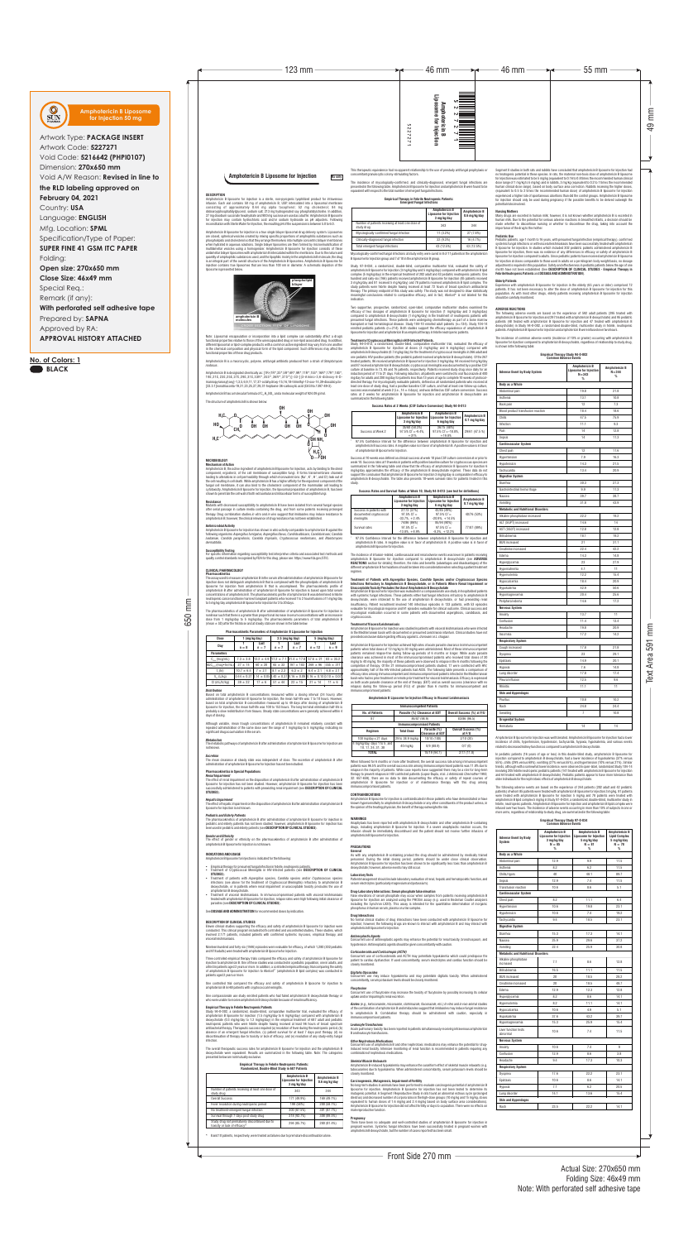650 mm

Front Side 270 mm

# Actual Size: 270x650 mm Folding Size: 46x49 mm Note: With perforated self adhesive tape

49 mm

Text Area 591 mm

Note: Liposomal encapsulation or incorporation into a lipid complex can substantially affect a drug's

**Resistance**<br>Mutants with decreased susceptibility to amphotericin B have been isolated from several fungal species after serial passage in culture media containing the drug, and from some patients receiving prolonged therapy. Drug combination studies *in vitro* and *in vivo* suggest that imidazoles may induce resistance to amphotericin B; however, the clinical relevance of drug resistance has not been established.

functional properties of these drug products.

Amphotericin B is a macrocyclic, polyene, antifungal antibiotic produced from a strain of *Streptomyces* 

<code>mphotericin</code> B is designated chemically as: [1R-(1R\*,3S\*,5R\*,6R\*,9R\*,11R\*,15S\*,16R\*,17R\*,18S\*, 19E,21E,23E,25E,27E,29E,31E,33R\*,35S\*,36R\*,37S\*)]-33-[(3-Amino-3,6-dideoxy-6-D-<br>mannopyranosyl)oxy]-1,3,5,6,9,11,17,37-octahydroxy-15,16,18-trimethyl-13-oxo-14,39-dioxabicyclo-<br>[33.3.1]nonatriaconta-19,21,23,25,27,29,31-he

Amphotericin B has a molecular formula of  $C_{47}H_{73}NO_{17}$  and a molecular weight of 924.09 g/mol.

*nodosus*.

The structure of amphotericin B is shown below:

 $CH<sup>0</sup>$ 

**MICROBIOLOGY Mechanism of Action**

Amphotericin B, the active ingredient of amphotericin B liposome for injection, acts by binding to the sterol component, ergosterol, of the cell membrane of susceptible fungi. It forms transmembrane channels<br>leading to alterations in cell permeability through which monovalent ions (Na\*, K\*, H\*, and Cl') leak out of<br>the cell result fungal cell membrane, it can also bind to the cholesterol component of the mammalian cell leading to cytotoxicity. Amphotericin B liposome for injection, the liposomal preparation of amphotericin B, has been shown to penetrate the cell wall of both extracellular and intracellular forms of susceptible fungi.

*Renal Impairment*<br>The effect of renal impairment on the disposition of amphotericin B after administration of amphotericin B liposome for injection has not been studied. However, amphotericin B liposome for injection has been successfully administered to patients with preexisting renal impairment (see **DESCRIPTION OF CLINICAL STUDIES**).

## **Antimicrobial Activity**

Amphotericin B liposome for injection has shown *in vitro* activity comparable to amphotericin B against the following organisms: *Aspergillus fumigatus, Aspergillus flavus, Candida albicans, Candida krusei, Candida lusitaniae, Candida parapsilosis, Candida tropicalis, Cryptococcus neoformans,* and *Blastomyces dermatitidis.*

- Empirical therapy for presumed fungal infection in febrile, neutropenic patients Treatment of Cryptococcal Meningitis in HIV-infected patients (see **DESCRIPTION OF CLINICAL STUDIES**).
- Ÿ Treatment of patients with *Aspergillus* species, *Candida* species and/or *Cryptococcus* species infections (see above for the treatment of Cryptococcal Meningitis) refractory to amphotericin B deoxycholate, or in patients where renal impairment or unacceptable toxicity precludes the use of amphotericin B deoxycholate.
- Treatment of visceral leishmaniasis. In immunocompromised patients with visceral leishmaniasis treated with amphotericin B liposome for injection, relapse rates were high following initial clearance of parasites (see **DESCRIPTION OF CLINICAL STUDIES**).

## **Susceptibility Testing**

For specific information regarding susceptibility test interpretive criteria and associated test methods and quality control standards recognized by FDA for this drug, please see: https://www.fda.gov/STIC.

Nineteen hundred and forty-six (1946) episodes were evaluable for efficacy, of which 1,280 (302 pediatric and 978 adults) were treated with amphotericin B liposome for injection.

## **CLINICAL PHARMACOLOGY**

Three controlled empirical therapy trials compared the efficacy and safety of amphotericin B liposome for injection to amphotericin B. One of these studies was conducted in a pediatric population, one in adults, and a third in patients aged 2 years or more. In addition, a controlled empirical therapy trial comparing the safety of amphotericin B liposome for injection to Abelcet<sup>®\*</sup> (amphotericin B lipid complex) was conducted in patients aged 2 years or more

One controlled trial compared the efficacy and safety of amphotericin B liposome for injection to amphotericin B in HIV patients with cryptococcal meningit

One compassionate use study enrolled patients who had failed amphotericin B deoxycholate therapy or<br>who were unable to receive amphotericin B deoxycholate because of repal insufficiency who was your creek parametering the cause and product amphotericin B deoxycholate because of renal insufficiency

**Pharmacokinetics**  The assay used to measure amphotericin B in the serum after administration of amphotericin B liposome for injection does not distinguish amphotericin B that is complexed with the phospholipids of amphotericin B liposome for injection from amphotericin B that is uncomplexed. The pharmacokinetic profile of amphotericin B after administration of amphotericin B liposome for injection is based upon total serum concentrations of amphotericin B. The pharmacokinetic profile of amphotericin B was determined in febrile neutropenic cancer and bone marrow transplant patients who received 1 to 2 hour infusions of 1 mg/kg/day to 5 mg/kg/day amphotericin B liposome for injection for 3 to 20 days.

The overall therapeutic success rates for amphotericin B liposome for injection and the amphotericin B deoxycholate were equivalent. Results are summarized in the following table. Note: The categories ented below are not mutually exclusive

The pharmacokinetics of amphotericin B after administration of amphotericin B liposome for injection is nonlinear such that there is a greater than proportional increase in serum concentrations with an increase in dose from 1 mg/kg/day to 5 mg/kg/day. The pharmacokinetic parameters of total amphotericin B (mean ± SD) after the first dose and at steady state are shown in the table below.

### **Pharmacokinetic Parameters of Amphotericin B Liposome for Injection**

## *Distribution*

Based on total amphotericin B concentrations measured within a dosing interval (24 hours) after administration of amphotericin B liposome for injection, the mean half-life was 7 to 10 hours. However, based on total amphotericin B concentration measured up to 49 days after dosing of amphotericin B liposome for injection, the mean half-life was 100 to 153 hours. The long terminal elimination half-life is<br>probably a slow redistribution from tissues. Steady state concentrations were generally achieved within 4 ribution from tissues. Steady state concentrations were generally achieved within 4 days of dosing.

Although variable, mean trough concentrations of amphotericin B remained relatively constant with repeated administration of the same dose over the range of 1 mg/kg/day to 5 mg/kg/day, indicating no significant drug accumulation in the serum.



### *Metabolism*

The metabolic pathways of amphotericin B after administration of amphotericin B liposome for injection are not known.

## *Excretion*

The mean clearance at steady state was independent of dose. The excretion of amphotericin B after administration of amphotericin B liposome for injection has not been studied.

**Pharmacokinetics in Special Populations** 

## *Hepatic Impairment*

The effect of hepatic impairment on the disposition of amphotericin B after administration of amphotericin B liposome for injection is not known.

## *Pediatric and Elderly Patients*

The pharmacokinetics of amphotericin B after administration of amphotericin B liposome for injection in pediatric and elderly patients has not been studied; however, amphotericin B liposome for injection has been used in pediatric and elderly patients (see **DESCRIPTION OF CLINICAL STUDIES**).

## *Gender and Ethnicity*

### functional properties relative to those of the unencapsulated drug or non-lipid associated drug. In addition, different liposomal or lipid-complex products with a common active ingredient may vary from one another **Treatment of Cryptococcal Meningitis in HIV-Infected Patients.**

The effect of gender or ethnicity on the pharmacokinetics of amphotericin B after administration of amphotericin B liposome for injection is not known.

### **INDICATIONS AND USAGE**

Amphotericin B liposome for injection is indicated for the following:

See **DOSAGE AND ADMINISTRATION** for recommended doses by indication.

### **DESCRIPTION OF CLINICAL STUDIES**

Eleven clinical studies supporting the efficacy and safety of amphotericin B liposome for injection were conducted. This clinical program included both controlled and uncontrolled studies**.** These studies, which involved 2,171 patients, included patients with confirmed systemic mycoses, empirical therapy, and visceral leishmaniasis.

### **Empirical Therapy in Febrile Neutropenic Patients**

Study 94-0-002, a randomized, double-blind, comparative multicenter trial, evaluated the efficacy of amphotericin B liposome for injection (1.5 mg/kg/day to 6 mg/kg/day) compared with amphotericin B deoxycholate (0.3 mg/kg/day to 1.2 mg/kg/day) in the empirical treatment of 687 adult and pediatric neutropenic patients who were febrile despite having received at least 96 hours of broad spectrum antibacterial therapy. Therapeutic success required (a) resolution of fever during the neutropenic period, (b) absence of an emergent fungal infection, (c) patient survival for at least 7 days post therapy, (d) no discontinuation of therapy due to toxicity or lack of efficacy, and (e) resolution of any study-entry fungal infection.

### *Antineoplastic Agents*  Concurrent use of antineoplastic agents may enhance the potential for renal toxicity, bronchospasm, and hypotension. Antineoplastic agents should be given concomitantly with cautio

### **Empirical Therapy in Febrile Neutropenic Patients: Randomized, Double-Blind Study in 687 Patients**

\* 8 and 10 patients, respectively, were treated as failures due to premature discontinuation alone.

efficacy of two dosages of amphotericin B liposome for injection (1 mg/kg/day and 3 mg/kg/day) compared to amphotericin B deoxycholate (1 mg/kg/day) in the treatment of neutropenic patients with presumed fungal infections. These patients were undergoing chemotherapy as part of a bone marrow transplant or had hematological disease. Study 104-10 enrolled adult patients (n=134). Study 104-14 enrolled pediatric patients (n=214). Both studies support the efficacy equivalence of amphotericin B liposome for injection and amphotericin B as empirical therapy in febrile neutropenic patients.

> Amphotericin B liposome for injection was well tolerated. Amphotericin B liposome for injection had a lower incidence of chills, hypertension, hypotension, tachycardia, hypoxia, hypokalemia, and various events relative to decrease the compared to amphotericin B deoxycholated kidney function as compared to amphotericin B deoxychol

Study 94-0-013, a randomized, double-blind, comparative multicenter trial, evaluated the efficacy of summarized in the following table:

amphotericin B liposome for injection at doses (3 mg/kg/day and 6 mg/kg/day) compared with amphotericin B deoxycholate (0.7 mg/kg/day) for the treatment of cryptococcal meningitis in 266 adult and one pediatric HIV-positive patients (the pediatric patient received amphotericin B deoxycholate). Of the 267 treated patients, 86 received amphotericin B liposome for injection 3 mg/kg/day, 94 received 6 mg/kg/day and 87 received amphotericin B deoxycholate; cryptococcal meningitis was documented by a positive CSF culture at baseline in 73, 85 and 76 patients, respectively. Patients received study drug once daily for an induction period of 11 to 21 days. Following induction, all patients were switched to oral fluconazole at 400 mg/day for adults and 200 mg/day for patients less than 13 years of age to complete 10 weeks of protocoldirected therapy. For mycologically evaluable patients, defined as all randomized patients who received at least one dose of study drug, had a positive baseline CSF culture, and had at least one follow-up culture, success was evaluated at week 2 (i.e.,  $14 \pm 4$  days), and was defined as CSF culture conversion. Success rates at 2 weeks for amphotericin B liposome for injection and amphotericin B deoxycholate are

|                   | <b>Amphotericin B</b><br>Liposome for Injection   Liposome for Injection<br>3 mg/kg/day | <b>Amphotericin B</b><br>6 mg/kg/day                          | <b>Amphotericin I</b><br>0.7 mg/kg/day |
|-------------------|-----------------------------------------------------------------------------------------|---------------------------------------------------------------|----------------------------------------|
| Success at Week 2 | 35/60 (58.3%)<br>$97.5\%$ Cl <sup>1</sup> = -9.4%.<br>$+31%$                            | 36/75 (48%)<br>$97.5\%$ Cl <sup>1</sup> = -18.8%.<br>$+19.8%$ | 29/61 (47.5 %)                         |
|                   |                                                                                         |                                                               |                                        |

## **Success Rates at 2 Weeks (CSF Culture Conversion) Study 94-0-013**

<sup>1</sup>97.5% Confidence Interval for the difference between amphotericin B liposome for injection and amphotericin B success rates. A negative value is in favor of amphotericin B. A positive value is in favor of amphotericin B liposome for injection.

Success at 10 weeks was defined as clinical success at week 10 plus CSF culture conversion at or prior to summarized in the following table and show that the efficacy of amphotericin B liposome for injection 6

|                                                                   | <b>Amphotericin B</b><br><b>Liposome for Injection</b><br>3 mg/kg/day | <b>Amphotericin B</b><br><b>Liposome for Injection</b><br>6 mg/kg/day | <b>Amphotericin B</b><br>$0.7 \text{ mg/kg/day}$ |
|-------------------------------------------------------------------|-----------------------------------------------------------------------|-----------------------------------------------------------------------|--------------------------------------------------|
| Success in patients with<br>documented cryptococcal<br>meninaitis | 27/73 (37%)<br>$97.5\%$ CI <sup>1</sup> =<br>$-33.7\%$ . $+2.4\%$     | 42/85 (49%)<br>$97.5\%$ CI <sup>1</sup> =<br>$-20.9\%$ . $+14.5\%$    | 40/76 (53%)                                      |
| Survival rates                                                    | 74/86 (86%)<br>$97.5\% \text{ Cl}^1 =$<br>$-13.8\%$ . $+8.9\%$        | 85/94 (90%)<br>$97.5\%$ Cl <sup>1</sup> =<br>$-8.3\%$ , $+12.2\%$     | 77/87 (89%)                                      |

week 10. Success rates at 10 weeks in patients with positive baseline culture for cryptococcus species are mg/kg/day approximates the efficacy of the amphotericin B deoxycholate regimen. These data do not support the conclusion that amphotericin B liposome for injection 3 mg/kg/day is comparable in efficacy to amphotericin B deoxycholate. The table also presents 10-week survival rates for patients treated in this study.

## **Success Rates and Survival Rates at Week 10, Study 94-0-013 (see text for definitions)**

<sup>1</sup>97.5% Confidence Interval for the difference between amphotericin B liposome for injection and amphotericin B rates. A negative value is in favor of amphotericin B. A positive value is in favor of amphotericin B liposome for injection.

The incidence of infusion-related, cardiovascular and renal adverse events was lower in patients receiving amphotericin B liposome for injection compared to amphotericin B deoxycholate (see **ADVERSE REACTIONS** section for details); therefore, the risks and benefits (advantages and disadvantages) of the different amphotericin B formulations should be taken into consideration when selecting a patient treat regimen.

# Treatment of Patients with *Aspergillus* Species, *Candida* Species and/or *Cryptococcus* Species<br>Infections Refractory to Amphotericin B Deoxycholate, or in Patients Where Renal Impairment or<br>UnacceptableToxicityPrecludes

Amphotericin B liposome for injection was evaluated in a compassionate use study in hospitalized patients with systemic fungal infections. These patients either had fungal infections refractory to amphotericin B deoxycholate, were intolerant to the use of amphotericin B deoxycholate, or had preexisting renal insufficiency. Patient recruitment involved 140 infectious episodes in 133 patients, with 53 episodes evaluable for mycological response and 91 episodes evaluable for clinical outcome. Clinical success and mycological eradication occurred in some patients with documented aspergillosis, candidiasis, and cryptococcosis.

**Treatment of Visceral Leishmaniasis** Amphotericin B liposome for injectionwas studied in patients with visceral leishmaniasis who were infected in the Mediterranean basin with documented or presumed *Leishmania infantum*. Clinical studies have not provided conclusive data regarding efficacy against *L. donovani* or *L. chagasi*.

Amphotericin B liposome for injection achieved high rates of acute parasite clearance in immunocompetent patients when total doses of 12 mg/kg to 30 mg/kg were administered. Most of these immunocompetent patients remained relapse-free during follow-up periods of 6 months or longer. While acute parasite clearance was achieved in most of the immunocompromised patients who received total doses of 30 mg/kg to 40 mg/kg, the majority of these patients were observed to relapse in the 6 months following the completion of therapy. Of the 21 immunocompromised patients studied, 17 were coinfected with HIV; approximately half of the HIV-infected patients had AIDS. The following table presents a comparison of efficacy rates among immunocompetent and immunocompromised patients infected in the Mediterranean basin who had no prior treatment or remote prior treatment for visceral leishmaniasis. Efficacy is expressed as both acute parasite clearance at the end of therapy (EOT) and as overall success (clearance with no relapse) during the follow-up period (F/U) of greater than 6 months for immunocompetent and immunocompromised patients:

## **Amphotericin B Liposome for Injection Efficacy in Visceral Leishmaniasis**

When followed for 6 months or more after treatment, the overall success rate among immunocompetent patients was 96.5% and the overall success rate among immunocompromised patients was 11.8% due to relapse in the majority of patients. While case reports have suggested there may be a role for long-term therapy to prevent relapses in HIV coinfected patients (Lopez-Dupla, et al. *J Antimicrob Chemother* 1993; 32: 657-659), there are no data to date documenting the efficacy or safety of repeat courses of amphotericin B liposome for injection or of maintenance therapy with this drug among immunocompromised patients.

## **CONTRAINDICATIONS**

Amphotericin B liposome for injection is contraindicated in those patients who have demonstrated or have known hypersensitivity to amphotericin B deoxycholate or any other constituents of the product unless, in the opinion of the treating physician, the benefit of therapy outweighs the risk.

## **WARNINGS**

Anaphylaxis has been reported with amphotericin B deoxycholate and other amphotericin B-containing drugs, including amphotericin B liposome for injection. If a severe anaphylactic reaction occurs, the infusion should be immediately discontinued and the patient should not receive further infusions of amphotericin B liposome for injection.

## **PRECAUTIONS**

**General**  As with any amphotericin B-containing product the drug should be administered by medically trained personnel. During the initial dosing period, patients should be under close clinical observation. Amphotericin B liposome for injection has been shown to be significantly less toxic than amphotericin B deoxycholate; however, adverse events may still occur.

### **Laboratory Tests**

Patient management should include laboratory evaluation of renal, hepatic and hematopoietic function, and serum electrolytes (particularly magnesium and potassium).

## **Drug-Laboratory Interactions: Serum phosphate false elevation**

False elevations of serum phosphate may occur when samples from patients receiving amphotericin B liposome for injection are analyzed using the PHOSm assay (e.g. used in Beckman Coulter analyzers including the Synchron LX20). This assay is intended for the quantitative determination of inorganic phosphorus in human serum, plasma or urine samples.

## **Drug Interactions**

No formal clinical studies of drug interactions have been conducted with amphotericin B liposome for injection; however, the following drugs are known to interact with amphotericin B and may interact with injection; amphotericin B liposome for injection:

*Corticosteroids and Corticotropin (ACTH)*  Concurrent use of corticosteroids and ACTH may potentiate hypokalemia which could predispose the patient to cardiac dysfunction. If used concomitantly, serum electrolytes and cardiac function should be closely monitored.

## *Digitalis Glycosides*

Concurrent use may induce hypokalemia and may potentiate digitalis toxicity. When administered

## concomitantly, serum potassium levels should be closely monitored. *Flucytosine*

Concurrent use of flucytosine may increase the toxicity of flucytosine by possibly increasing its cellular uptake and/or impairing its renal excretion.

*Azoles (e.g., ketoconazole, miconazole, clotrimazole, fluconazole, etc.) In vitro* and *in vivo* animal studies of the combination of amphotericin B and imidazoles suggest that imidazoles may induce fungal resistance to amphotericin B. Combination therapy should be administered with caution, especially in immunocompromised patients.

## *Leukocyte Transfusions*  Acute pulmonary toxicity has been reported in patients simultaneously receiving intravenous amphotericin B and leukocyte transfusions.

*Other Nephrotoxic Medications* Concurrent use of amphotericin B and other nephrotoxic medications may enhance the potential for druginduced renal toxicity. Intensive monitoring of renal function is recommended in patients requiring any combination of nephrotoxic medications.

## *Skeletal Muscle Relaxants*

Amphotericin B-induced hypokalemia may enhance the curariform effect of skeletal muscle relaxants (e.g. tubocurarine) due to hypokalemia. When administered concomitantly, serum potassium levels should be closely monitored.

**Carcinogenesis, Mutagenesis, Impairment of Fertility**  No long-term studies in animals have been performed to evaluate carcinogenic potential of amphotericin B liposome for injection. Amphotericin B liposome for injection has not been tested to determine its mutagenic potential. A Segment I Reproductive Study in rats found an abnormal estrous cycle (prolonged diestrus) and decreased number of corpora lutea in the high-dose groups (10 mg/kg and 15 mg/kg, doses equivalent to human doses of 1.6 mg/kg and 2.4 mg/kg based on body surface area cons Amphotericin B liposome for injection did not affect fertility or days to copulation. There were no effects on male reproductive function.

## **Pregnancy**

There have been no adequate and well-controlled studies of amphotericin B liposome for injection in pregnant women. Systemic fungal infections have been successfully treated in pregnant women with amphotericin B deoxycholate, but the number of cases reported has been small. no teratogenic potential in these species. In rats, the maternal non-toxic dose of amphotericin B liposome for injection was estimated to be 5 mg/kg (equivalent to 0.16 to 0.8 times the recommended human clinical dose range of 1 mg/kg to 5 mg/kg) and in rabbits, 3 mg/kg (equivalent to 0.2 to 1 times the recommended<br>human clinical dose range), based on body surface area correction. Rabbits receiving the higher doses,<br>(equivalent to experienced a higher rate of spontaneous abortions than did the control groups. Amphotericin B liposome for injection should only be used during pregnancy if the possible benefits to be derived outweigh the

human milk. Due to the potential for serious adverse reactions in breastfed infants, a decision should be made whether to discontinue nursing or whether to discontinue the drug, taking into account the

systemic fungal infections or with visceral leishmaniasis have been successfully treated with amphotericin B liposome for injection. In studies which included 302 pediatric patients administered amphotericin B liposome for injection, there was no evidence of any differences in efficacy or safety of amphotericin B liposome for injection compared to adults. Since pediatric patients have received amphotericin B liposome for injection at doses comparable to those used in adults on a per kilogram body weight basis, no dosage adjustment is required in this population. Safety and effectiveness in pediatric patients below the age of one month have not been established (See **DESCRIPTION OF CLINICAL STUDIES - Empirical Therapy in** 

patients. It has not been necessary to alter the dose of amphotericin B liposome for injection for this population. As with most other drugs, elderly patients receiving amphotericin B liposome for injection

## **ADVERSE REACTIONS**

The following adverse events are based on the experience of 592 adult patients (295 treated with amphotericin B liposome for injection and 297 treated with amphotericin B deoxycholate) and 95 pediatric patients (48 treated with amphotericin B liposome for injection and 47 treated with amphotericin B deoxycholate) in Study 94-0-002, a randomized double-blind, multicenter study in febrile, neutropenic patients. Amphotericin B liposome for injection and amphotericin B were infused over two hours.

The incidence of common adverse events (incidence of 10% or greater) occurring with amphotericin B liposome for injection compared to amphotericin B deoxycholate, regardless of relationship to study drug, is shown in the following table:

### **Empirical Therapy Study 94-0-002 Common Adverse Events**

In pediatric patients (16 years of age or less) in this double-blind study, amphotericin B liposome for injection compared to amphotericin B deoxycholate, had a lower incidence of hypokalemia (37% versus 55%), chills (29% versus 68%), vomiting (27% versus 55%), and hypertension (10% versus 21%). Similar trends, although with a somewhat lower incidence, were observed in open-label, randomized Study 104-14 involving 205 febrile neutropenic pediatric patients (141 treated with amphotericin B liposome for injection and 64 treated with amphotericin B deoxycholate). Pediatric patients appear to have more tolerance than older individuals for the nephrotoxic effects of amphotericin B deoxycholate.

The following adverse events are based on the experience of 244 patients (202 adult and 42 pediatric patients) of whom 85 patients were treated with amphotericin B liposome for injection 3 mg/kg, 81 patients were treated with amphotericin B liposome for injection 5 mg/kg and 78 patients were treated with amphotericin B lipid complex 5 mg/kg in Study 97-0-034, a randomized, double-blind, multicenter study in febrile, neutropenic patients. Amphotericin B liposome for injection and amphotericin B lipid complex were infused over two hours. The incidence of adverse events occurring in more than 10% of subjects in one or more arms, regardless of relationship to study drug, are summarized in the following table:

### **Empirical Therapy Study 97-0-034 Common Adverse Events**

**amphotericin B molecules**

**H3C O**

**O OH OH OH OH**

**OH OH**

**OH O OH O**

in the chemical composition and physical form of the lipid component. Such differences may affect the

**O**

**O OH**

**H3C**

**HO**

**H OH NH<sup>2</sup>**

 $H$ <sub>3</sub> $C$ 

| T NGHINGGANILGHO I GHANILGHO OI ANNDHOLGHONI D'EIDOSONIG IOI MHGGHON |                 |                 |               |                                                                                                 |               |                         |  |
|----------------------------------------------------------------------|-----------------|-----------------|---------------|-------------------------------------------------------------------------------------------------|---------------|-------------------------|--|
| Dose                                                                 | $1$ (mg/kg/day) |                 |               | $2.5 \text{ (mg/kg/day)}$                                                                       |               | $5 \text{ (mg/kg/day)}$ |  |
| Day                                                                  | $n = 8$         | Last<br>$n = 7$ | $n = 7$       | Last<br>$n = 7$                                                                                 | $n = 12$      | Last<br>$n = 9$         |  |
| <b>Parameters</b>                                                    |                 |                 |               |                                                                                                 |               |                         |  |
| $C_{\text{max}}$ (mcg/mL)                                            | $7.3 \pm 3.8$   |                 |               | $12.2 \pm 4.9$   17.2 $\pm$ 7.1   31.4 $\pm$ 17.8                                               | $57.6 \pm 21$ | $83 \pm 35.2$           |  |
| $[AUC_{0.24}$ (mcg • hr/mL)                                          | $27 + 14$       | $60 \pm 20$     | $65 \pm 33$   | $197 + 183$                                                                                     | $269 \pm 96$  | $555 \pm 311$           |  |
| $t_{\alpha}$ (hr)                                                    | $10.7 \pm 6.4$  | $7 + 2.1$       | $8.1 \pm 2.3$ | $6.3 \pm 2$                                                                                     | $6.4 \pm 2.1$ | $6.8 \pm 2.1$           |  |
| $V_{\ldots}$ (L/kg)                                                  |                 |                 |               | $0.44 \pm 0.27$ $0.14 \pm 0.05$ $0.40 \pm 0.37$ $0.16 \pm 0.09$ $0.16 \pm 0.10$ $0.10 \pm 0.07$ |               |                         |  |
| CI (mL/hr/ka)                                                        | $39 \pm 22$     | $17 \pm 6$      | $51 \pm 44$   | $22 \pm 15$                                                                                     | $21 \pm 14$   | $11 \pm 6$              |  |

|                                                                                 | <b>Amphotericin B</b><br><b>Liposome for Injection</b><br>3 mg/kg/day | <b>Amphotericin B</b><br>$0.6$ mg/kg/day |
|---------------------------------------------------------------------------------|-----------------------------------------------------------------------|------------------------------------------|
| Number of patients receiving at least one dose of<br>study drug                 | 343                                                                   | 344                                      |
| Overall Success                                                                 | 171 (49.9%)                                                           | 169 (49.1%)                              |
| Fever resolution during neutropenic period                                      | 199 (58%)                                                             | 200 (58.1%)                              |
| No treatment-emergent fungal infection                                          | 300 (87.5%)                                                           | 301 (87.7%)                              |
| Survival through 7 days post study drug                                         | 318 (92.7%)                                                           | 308 (89.5%)                              |
| Study drug not prematurely discontinued due to<br>toxicity or lack of efficacy* | 294 (85.7%)                                                           | 280 (81.4%)                              |

|                   | <b>Amphotericin B</b><br>Liposome for Injection   Liposome for Injection<br>3 mg/kg/day | <b>Amphotericin B</b><br>6 mg/kg/day                          | <b>Amphotericin B</b><br>0.7 mg/kg/day |
|-------------------|-----------------------------------------------------------------------------------------|---------------------------------------------------------------|----------------------------------------|
| Success at Week 2 | 35/60 (58.3%)<br>$97.5\%$ Cl <sup>1</sup> = -9.4%.<br>$+31%$                            | 36/75 (48%)<br>$97.5\%$ CI <sup>1</sup> = -18.8%,<br>$+19.8%$ | 29/61 (47.5 %)                         |

|                                                                   | <b>Amphotericin B</b><br><b>Liposome for Injection</b><br>3 mg/kg/day | <b>Amphotericin B</b><br><b>Liposome for Injection</b><br>6 mg/kg/day | <b>Amphotericin B</b><br>$0.7 \text{ mg/kg/day}$ |
|-------------------------------------------------------------------|-----------------------------------------------------------------------|-----------------------------------------------------------------------|--------------------------------------------------|
| Success in patients with<br>documented cryptococcal<br>meningitis | 27/73 (37%)<br>$97.5\%$ CI <sup>1</sup> =<br>$-33.7\%$ , $+2.4\%$     | 42/85 (49%)<br>$97.5\%$ Cl <sup>1</sup> =<br>$-20.9\%, +14.5\%$       | 40/76 (53%)                                      |
| Survival rates                                                    | 74/86 (86%)<br>$97.5\%$ Cl <sup>1</sup> =<br>$-13.8\%$ . $+8.9\%$     | 85/94 (90%)<br>$97.5\%$ Cl <sup>1</sup> =<br>$-8.3\%$ . $+12.2\%$     | 77/87 (89%)                                      |

| <b>Immunocompetent Patients</b>                     |                   |                                         |                                      |  |  |  |
|-----------------------------------------------------|-------------------|-----------------------------------------|--------------------------------------|--|--|--|
| <b>No. of Patients</b>                              |                   | Parasite (%) Clearance at EOT           | Overall Success (%) at F/U           |  |  |  |
| 87                                                  |                   | 86/87 (98.9)                            | 83/86 (96.5)                         |  |  |  |
| <b>Immunocompromised Patients</b>                   |                   |                                         |                                      |  |  |  |
| Regimen                                             | <b>Total Dose</b> | Parasite (%)<br><b>Clearance at EOT</b> | <b>Overall Success (%)</b><br>at F/U |  |  |  |
| 100 mg/day x 21 days                                | 29 to 38.9 mg/kg  | 10/10 (100)                             | 2/10(20)                             |  |  |  |
| 4 mg/kg/day, days 1 to 5, and<br>10, 17, 24, 31, 38 | 40 mg/kg          | 8/9(88.9)                               | 0/7(0)                               |  |  |  |
| TOTAL                                               |                   | 18/19 (94.7)                            | 2/17(11.8)                           |  |  |  |

| <b>Adverse Event by Body</b><br>System     | <b>Amphotericin B</b><br><b>Liposome for Injection</b><br>3 mg/kg/day<br>$N = 85$<br>$\%$ | <b>Amphotericin B</b><br><b>Liposome for Injection</b><br>5 mg/kg/day<br>$N = 81$<br>$\%$ | <b>Amphotericin B</b><br><b>Lipid Complex</b><br>5 mg/kg/day<br>$N = 78$<br>$\%$ |  |  |  |  |
|--------------------------------------------|-------------------------------------------------------------------------------------------|-------------------------------------------------------------------------------------------|----------------------------------------------------------------------------------|--|--|--|--|
| Body as a Whole                            |                                                                                           |                                                                                           |                                                                                  |  |  |  |  |
| Abdominal pain                             | 12.9                                                                                      | 9.9                                                                                       | 11.5                                                                             |  |  |  |  |
| Asthenia                                   | 8.2                                                                                       | 6.2                                                                                       | 11.5                                                                             |  |  |  |  |
| Chills/rigors                              | 40                                                                                        | 48.1                                                                                      | 89.7                                                                             |  |  |  |  |
| Sepsis                                     | 12.9                                                                                      | 7.4                                                                                       | 11.5                                                                             |  |  |  |  |
| Transfusion reaction                       | 10.6                                                                                      | 8.6                                                                                       | 5.1                                                                              |  |  |  |  |
| <b>Cardiovascular System</b>               |                                                                                           |                                                                                           |                                                                                  |  |  |  |  |
| Chest pain                                 | 8.2                                                                                       | 11.1                                                                                      | 6.4                                                                              |  |  |  |  |
| Hypertension                               | 10.6                                                                                      | 19.8                                                                                      | 23.1                                                                             |  |  |  |  |
| Hypotension                                | 10.6                                                                                      | 7.4                                                                                       | 19.2                                                                             |  |  |  |  |
| Tachycardia                                | 9.4                                                                                       | 18.5                                                                                      | 23.1                                                                             |  |  |  |  |
| <b>Digestive System</b>                    |                                                                                           |                                                                                           |                                                                                  |  |  |  |  |
| Diarrhea                                   | 15.3                                                                                      | 17.3                                                                                      | 14.1                                                                             |  |  |  |  |
| Nausea                                     | 25.9                                                                                      | 29.6                                                                                      | 37.2                                                                             |  |  |  |  |
| Vomiting                                   | 22.4                                                                                      | 25.9                                                                                      | 30.8                                                                             |  |  |  |  |
| <b>Metabolic and Nutritional Disorders</b> |                                                                                           |                                                                                           |                                                                                  |  |  |  |  |
| Alkaline phosphatase<br>increased          | 7.1                                                                                       | 8.6                                                                                       | 12.8                                                                             |  |  |  |  |
| <b>Bilirubinemia</b>                       | 16.5                                                                                      | 11.1                                                                                      | 11.5                                                                             |  |  |  |  |
| <b>BUN</b> increased                       | 20                                                                                        | 18.5                                                                                      | 28.2                                                                             |  |  |  |  |
| Creatinine increased                       | 20                                                                                        | 18.5                                                                                      | 48.7                                                                             |  |  |  |  |
| Edema                                      | 12.9                                                                                      | 12.3                                                                                      | 12.8                                                                             |  |  |  |  |
| Hyperglycemia                              | 8.2                                                                                       | 8.6                                                                                       | 14.1                                                                             |  |  |  |  |
| Hypervolemia                               | 8.2                                                                                       | 11.1                                                                                      | 14.1                                                                             |  |  |  |  |
| Hypocalcemia                               | 10.6                                                                                      | 4.9                                                                                       | 5.1                                                                              |  |  |  |  |
| Hypokalemia                                | 37.6                                                                                      | 43.2                                                                                      | 39.7                                                                             |  |  |  |  |
| Hypomagnesemia                             | 15.3                                                                                      | 25.9                                                                                      | 15.4                                                                             |  |  |  |  |
| Liver function tests<br>abnormal           | 10.6                                                                                      | 7.4                                                                                       | 11.5                                                                             |  |  |  |  |
| <b>Nervous System</b>                      |                                                                                           |                                                                                           |                                                                                  |  |  |  |  |
| Anxiety                                    | 10.6                                                                                      | 7.4                                                                                       | 9                                                                                |  |  |  |  |
| Confusion                                  | 12.9                                                                                      | 8.6                                                                                       | 3.8                                                                              |  |  |  |  |
| Headache                                   | 9.4                                                                                       | 17.3                                                                                      | 10.3                                                                             |  |  |  |  |
| <b>Respiratory System</b>                  |                                                                                           |                                                                                           |                                                                                  |  |  |  |  |
| Dyspnea                                    | 17.6                                                                                      | 22.2                                                                                      | 23.1                                                                             |  |  |  |  |
| Epistaxis                                  | 10.6                                                                                      | 8.6                                                                                       | 14.1                                                                             |  |  |  |  |
| Hypoxia                                    | 7.1                                                                                       | 6.2                                                                                       | 20.5                                                                             |  |  |  |  |
| Lung disorder                              | 14.1                                                                                      | 13.6                                                                                      | 15.4                                                                             |  |  |  |  |
| <b>Skin and Appendages</b>                 |                                                                                           |                                                                                           |                                                                                  |  |  |  |  |
| Rash                                       | 23.5                                                                                      | 22.2                                                                                      | 14.1                                                                             |  |  |  |  |

Liver function tests **Nervous System** 

| <b>Adverse Event by Body System</b>        | Amphotericin B<br><b>Liposome for Injection</b><br>$N = 343$<br>% | <b>Amphotericin B</b><br>$N = 344$<br>% |
|--------------------------------------------|-------------------------------------------------------------------|-----------------------------------------|
| <b>Body as a Whole</b>                     |                                                                   |                                         |
| Abdominal pain                             | 19.8                                                              | 21.8                                    |
| Asthenia                                   | 13.1                                                              | 10.8                                    |
| Back pain                                  | 12                                                                | 7.3                                     |
| Blood product transfusion reaction         | 18.4                                                              | 18.6                                    |
| Chills                                     | 47.5                                                              | 75.9                                    |
| Infection                                  | 11.1                                                              | 9.3                                     |
| Pain                                       | 14                                                                | 12.8                                    |
| Sepsis                                     | 14                                                                | 11.3                                    |
| <b>Cardiovascular System</b>               |                                                                   |                                         |
| Chest pain                                 | 12                                                                | 11.6                                    |
| Hypertension                               | 7.9                                                               | 16.3                                    |
| Hypotension                                | 14.3                                                              | 21.5                                    |
| Tachycardia                                | 13.4                                                              | 20.9                                    |
| <b>Digestive System</b>                    |                                                                   |                                         |
| Diarrhea                                   | 30.3                                                              | 27.3                                    |
| Gastrointestinal hemorrhage                | 9.9                                                               | 11.3                                    |
| Nausea                                     | 39.7                                                              | 38.7                                    |
| Vomiting                                   | 31.8                                                              | 43.9                                    |
| <b>Metabolic and Nutritional Disorders</b> |                                                                   |                                         |
| Alkaline phosphatase increased             | 22.2                                                              | 19.2                                    |
| ALT (SGPT) increased                       | 14.6                                                              | 14                                      |
| AST (SGOT) increased                       | 12.8                                                              | 12.8                                    |
| Bilirubinemia                              | 18.1                                                              | 19.2                                    |
| <b>BUN</b> increased                       | 21                                                                | 31.1                                    |
| Creatinine increased                       | 22.4                                                              | 42.2                                    |
| Edema                                      | 14.3                                                              | 14.8                                    |
|                                            | 23                                                                | 27.9                                    |
| Hyperglycemia                              | 4.1                                                               | 11                                      |
| Hypernatremia                              |                                                                   |                                         |
| Hypervolemia                               | 12.2                                                              | 15.4                                    |
| Hypocalcemia                               | 18.4                                                              | 20.9                                    |
| Hypokalemia                                | 42.9                                                              | 50.6                                    |
| Hypomagnesemia                             | 20.4                                                              | 25.6                                    |
| Peripheral edema                           | 14.6                                                              | 17.2                                    |
| <b>Nervous System</b>                      |                                                                   |                                         |
| Anxiety                                    | 13.7                                                              | 11                                      |
| Confusion                                  | 11.4                                                              | 13.4                                    |
| Headache                                   | 19.8                                                              | 20.9                                    |
| Insomnia                                   | 17.2                                                              | 14.2                                    |
| <b>Respiratory System</b>                  |                                                                   |                                         |
| Cough increased                            | 17.8                                                              | 21.8                                    |
| Dyspnea                                    | 23                                                                | 29.1                                    |
| Epistaxis                                  | 14.9                                                              | 20.1                                    |
| Hypoxia                                    | 7.6                                                               | 14.8                                    |
| Lung disorder                              | 17.8                                                              | 17.4                                    |
| Pleural effusion                           | 12.5                                                              | 9.6                                     |
| Rhinitis                                   | 11.1                                                              | 11                                      |
|                                            |                                                                   |                                         |
| <b>Skin and Appendages</b>                 |                                                                   |                                         |
| Pruritus                                   | 10.8                                                              | 10.2                                    |
| Rash<br>Sweating                           | 24.8<br>7                                                         | 24.4<br>10.8                            |

Hematuria 14 14

**With perforated self adhesive tape**  Prepared by: **SAPNA** Approved by RA: **APPROVAL HISTORY ATTACHED**

**No. of Colors: 1 BLACK**